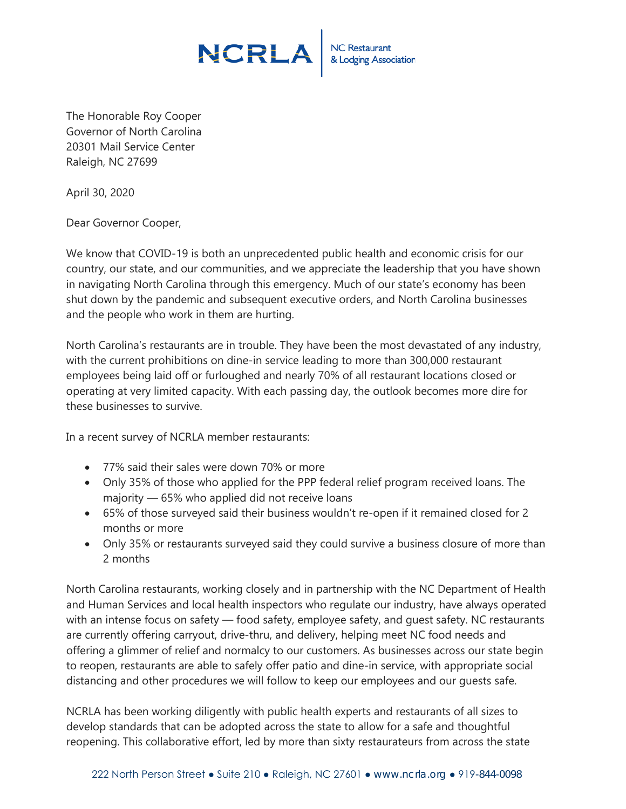## **NCRLA**

NC Restaurant<br>& Lodging Association

The Honorable Roy Cooper Governor of North Carolina 20301 Mail Service Center Raleigh, NC 27699

April 30, 2020

Dear Governor Cooper,

We know that COVID-19 is both an unprecedented public health and economic crisis for our country, our state, and our communities, and we appreciate the leadership that you have shown in navigating North Carolina through this emergency. Much of our state's economy has been shut down by the pandemic and subsequent executive orders, and North Carolina businesses and the people who work in them are hurting.

North Carolina's restaurants are in trouble. They have been the most devastated of any industry, with the current prohibitions on dine-in service leading to more than 300,000 restaurant employees being laid off or furloughed and nearly 70% of all restaurant locations closed or operating at very limited capacity. With each passing day, the outlook becomes more dire for these businesses to survive.

In a recent survey of NCRLA member restaurants:

- 77% said their sales were down 70% or more
- Only 35% of those who applied for the PPP federal relief program received loans. The majority — 65% who applied did not receive loans
- 65% of those surveyed said their business wouldn't re-open if it remained closed for 2 months or more
- Only 35% or restaurants surveyed said they could survive a business closure of more than 2 months

North Carolina restaurants, working closely and in partnership with the NC Department of Health and Human Services and local health inspectors who regulate our industry, have always operated with an intense focus on safety — food safety, employee safety, and guest safety. NC restaurants are currently offering carryout, drive-thru, and delivery, helping meet NC food needs and offering a glimmer of relief and normalcy to our customers. As businesses across our state begin to reopen, restaurants are able to safely offer patio and dine-in service, with appropriate social distancing and other procedures we will follow to keep our employees and our guests safe.

NCRLA has been working diligently with public health experts and restaurants of all sizes to develop standards that can be adopted across the state to allow for a safe and thoughtful reopening. This collaborative effort, led by more than sixty restaurateurs from across the state